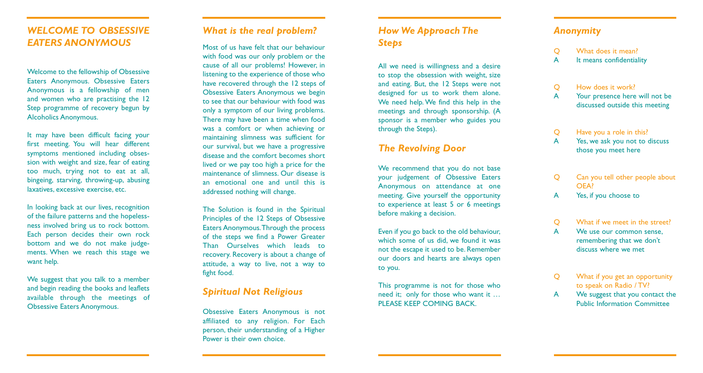## *WELCOME TO OBSESSIVE EATERS ANONYMOUS*

Welcome to the fellowship of Obsessive Eaters Anonymous. Obsessive Eaters Anonymous is a fellowship of men and women who are practising the 12 Step programme of recovery begun by Alcoholics Anonymous.

It may have been difficult facing your first meeting. You will hear different symptoms mentioned including obsession with weight and size, fear of eating too much, trying not to eat at all, bingeing, starving, throwing-up, abusing laxatives, excessive exercise, etc.

In looking back at our lives, recognition of the failure patterns and the hopelessness involved bring us to rock bottom. Each person decides their own rock bottom and we do not make judgements. When we reach this stage we want help.

We suggest that you talk to a member and begin reading the books and leaflets available through the meetings of Obsessive Eaters Anonymous.

## *What is the real problem?*

Most of us have felt that our behaviour with food was our only problem or the cause of all our problems! However, in listening to the experience of those who have recovered through the 12 steps of Obsessive Eaters Anonymous we begin to see that our behaviour with food was only a symptom of our living problems. There may have been a time when food was a comfort or when achieving or maintaining slimness was sufficient for our survival, but we have a progressive disease and the comfort becomes short lived or we pay too high a price for the maintenance of slimness. Our disease is an emotional one and until this is addressed nothing will change.

The Solution is found in the Spiritual Principles of the 12 Steps of Obsessive Eaters Anonymous.Through the process of the steps we find a Power Greater Than Ourselves which leads to recovery. Recovery is about a change of attitude, a way to live, not a way to fight food.

## *Spiritual Not Religious*

Obsessive Eaters Anonymous is not affiliated to any religion. For Each person, their understanding of a Higher Power is their own choice.

## *How We Approach The Steps*

All we need is willingness and a desire to stop the obsession with weight, size and eating. But, the 12 Steps were not designed for us to work them alone. We need help. We find this help in the meetings and through sponsorship. (A sponsor is a member who guides you through the Steps).

### *The Revolving Door*

We recommend that you do not base your judgement of Obsessive Eaters Anonymous on attendance at one meeting. Give yourself the opportunity to experience at least 5 or 6 meetings before making a decision.

Even if you go back to the old behaviour, which some of us did, we found it was not the escape it used to be. Remember our doors and hearts are always open to you.

This programme is not for those who need it; only for those who want it … PLEASE KEEP COMING BACK.

## *Anonymity*

| Q | What does it mean? |  |
|---|--------------------|--|
|   |                    |  |

- A It means confidentiality
- Q How does it work? A Your presence here will not be discussed outside this meeting
- Q Have you a role in this?
- A Yes, we ask you not to discuss those you meet here
- Q Can you tell other people about OEA?
- A Yes, if you choose to
- Q What if we meet in the street?
- A We use our common sense, remembering that we don 't discuss where we met
- Q What if you get an opportunity to speak on Radio / TV?
- A We suggest that you contact the Public Information Committee